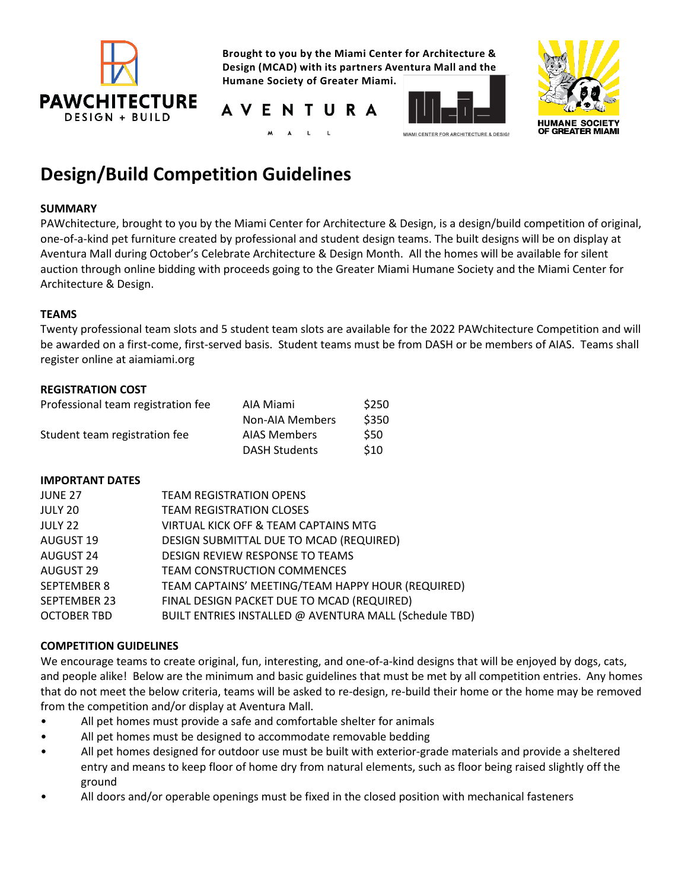

**Brought to you by the Miami Center for Architecture & Design (MCAD) with its partners Aventura Mall and the Humane Society of Greater Miami.**







# **Design/Build Competition Guidelines**

# **SUMMARY**

PAWchitecture, brought to you by the Miami Center for Architecture & Design, is a design/build competition of original, one-of-a-kind pet furniture created by professional and student design teams. The built designs will be on display at Aventura Mall during October's Celebrate Architecture & Design Month. All the homes will be available for silent auction through online bidding with proceeds going to the Greater Miami Humane Society and the Miami Center for Architecture & Design.

# **TEAMS**

Twenty professional team slots and 5 student team slots are available for the 2022 PAWchitecture Competition and will be awarded on a first-come, first-served basis. Student teams must be from DASH or be members of AIAS. Teams shall register online at aiamiami.org

# **REGISTRATION COST**

| Professional team registration fee | AIA Miami            | \$250      |
|------------------------------------|----------------------|------------|
|                                    | Non-AIA Members      | \$350      |
| Student team registration fee      | <b>AIAS Members</b>  | <b>S50</b> |
|                                    | <b>DASH Students</b> | \$10       |

# **IMPORTANT DATES**

| <b>TEAM REGISTRATION OPENS</b>                         |
|--------------------------------------------------------|
| <b>TEAM REGISTRATION CLOSES</b>                        |
| VIRTUAL KICK OFF & TEAM CAPTAINS MTG                   |
| DESIGN SUBMITTAL DUE TO MCAD (REQUIRED)                |
| DESIGN REVIEW RESPONSE TO TEAMS                        |
| <b>TEAM CONSTRUCTION COMMENCES</b>                     |
| TEAM CAPTAINS' MEETING/TEAM HAPPY HOUR (REQUIRED)      |
| FINAL DESIGN PACKET DUE TO MCAD (REQUIRED)             |
| BUILT ENTRIES INSTALLED @ AVENTURA MALL (Schedule TBD) |
|                                                        |

# **COMPETITION GUIDELINES**

We encourage teams to create original, fun, interesting, and one-of-a-kind designs that will be enjoyed by dogs, cats, and people alike! Below are the minimum and basic guidelines that must be met by all competition entries. Any homes that do not meet the below criteria, teams will be asked to re-design, re-build their home or the home may be removed from the competition and/or display at Aventura Mall.

- All pet homes must provide a safe and comfortable shelter for animals
- All pet homes must be designed to accommodate removable bedding
- All pet homes designed for outdoor use must be built with exterior-grade materials and provide a sheltered entry and means to keep floor of home dry from natural elements, such as floor being raised slightly off the ground
- All doors and/or operable openings must be fixed in the closed position with mechanical fasteners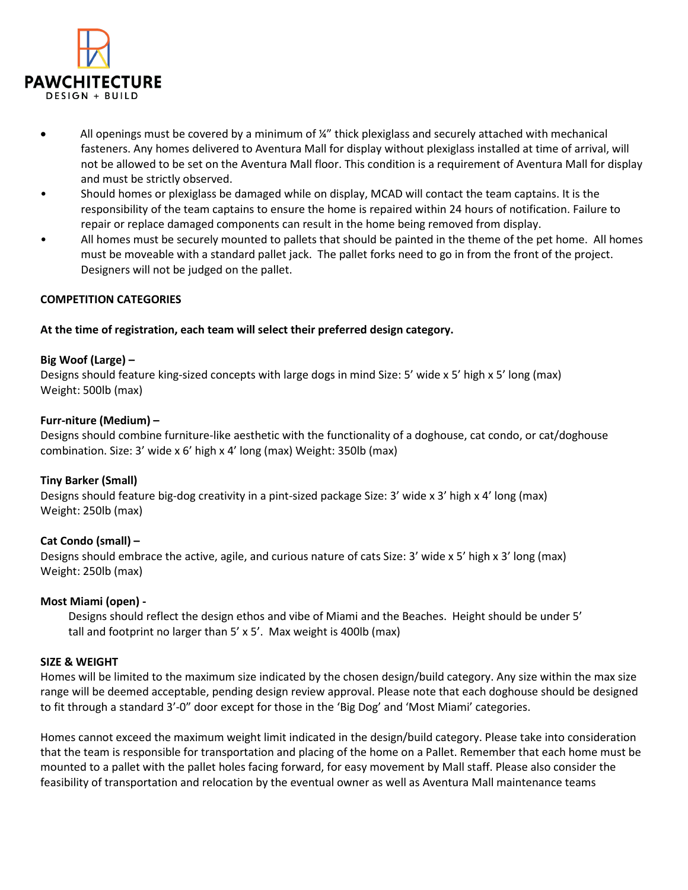

- All openings must be covered by a minimum of ¼" thick plexiglass and securely attached with mechanical fasteners. Any homes delivered to Aventura Mall for display without plexiglass installed at time of arrival, will not be allowed to be set on the Aventura Mall floor. This condition is a requirement of Aventura Mall for display and must be strictly observed.
- Should homes or plexiglass be damaged while on display, MCAD will contact the team captains. It is the responsibility of the team captains to ensure the home is repaired within 24 hours of notification. Failure to repair or replace damaged components can result in the home being removed from display.
- All homes must be securely mounted to pallets that should be painted in the theme of the pet home. All homes must be moveable with a standard pallet jack. The pallet forks need to go in from the front of the project. Designers will not be judged on the pallet.

# **COMPETITION CATEGORIES**

# **At the time of registration, each team will select their preferred design category.**

#### **Big Woof (Large) –**

Designs should feature king-sized concepts with large dogs in mind Size: 5' wide x 5' high x 5' long (max) Weight: 500lb (max)

## **Furr-niture (Medium) –**

Designs should combine furniture-like aesthetic with the functionality of a doghouse, cat condo, or cat/doghouse combination. Size: 3' wide x 6' high x 4' long (max) Weight: 350lb (max)

# **Tiny Barker (Small)**

Designs should feature big-dog creativity in a pint-sized package Size: 3' wide x 3' high x 4' long (max) Weight: 250lb (max)

# **Cat Condo (small) –**

Designs should embrace the active, agile, and curious nature of cats Size: 3' wide x 5' high x 3' long (max) Weight: 250lb (max)

# **Most Miami (open) -**

 Designs should reflect the design ethos and vibe of Miami and the Beaches. Height should be under 5' tall and footprint no larger than 5' x 5'. Max weight is 400lb (max)

#### **SIZE & WEIGHT**

Homes will be limited to the maximum size indicated by the chosen design/build category. Any size within the max size range will be deemed acceptable, pending design review approval. Please note that each doghouse should be designed to fit through a standard 3'-0" door except for those in the 'Big Dog' and 'Most Miami' categories.

Homes cannot exceed the maximum weight limit indicated in the design/build category. Please take into consideration that the team is responsible for transportation and placing of the home on a Pallet. Remember that each home must be mounted to a pallet with the pallet holes facing forward, for easy movement by Mall staff. Please also consider the feasibility of transportation and relocation by the eventual owner as well as Aventura Mall maintenance teams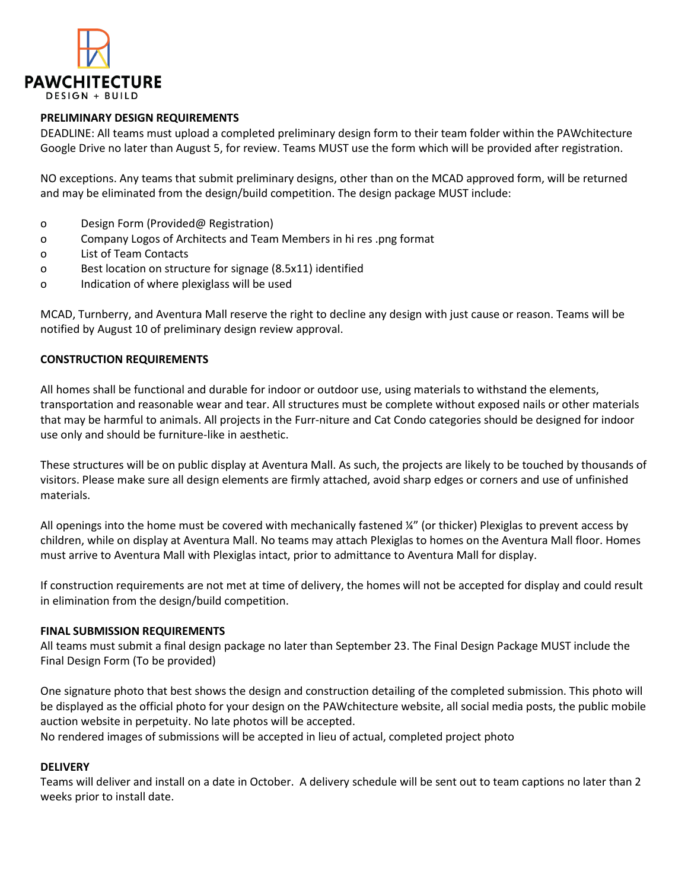

## **PRELIMINARY DESIGN REQUIREMENTS**

DEADLINE: All teams must upload a completed preliminary design form to their team folder within the PAWchitecture Google Drive no later than August 5, for review. Teams MUST use the form which will be provided after registration.

NO exceptions. Any teams that submit preliminary designs, other than on the MCAD approved form, will be returned and may be eliminated from the design/build competition. The design package MUST include:

- o Design Form (Provided@ Registration)
- o Company Logos of Architects and Team Members in hi res .png format
- o List of Team Contacts
- o Best location on structure for signage (8.5x11) identified
- o Indication of where plexiglass will be used

MCAD, Turnberry, and Aventura Mall reserve the right to decline any design with just cause or reason. Teams will be notified by August 10 of preliminary design review approval.

#### **CONSTRUCTION REQUIREMENTS**

All homes shall be functional and durable for indoor or outdoor use, using materials to withstand the elements, transportation and reasonable wear and tear. All structures must be complete without exposed nails or other materials that may be harmful to animals. All projects in the Furr-niture and Cat Condo categories should be designed for indoor use only and should be furniture-like in aesthetic.

These structures will be on public display at Aventura Mall. As such, the projects are likely to be touched by thousands of visitors. Please make sure all design elements are firmly attached, avoid sharp edges or corners and use of unfinished materials.

All openings into the home must be covered with mechanically fastened ¼" (or thicker) Plexiglas to prevent access by children, while on display at Aventura Mall. No teams may attach Plexiglas to homes on the Aventura Mall floor. Homes must arrive to Aventura Mall with Plexiglas intact, prior to admittance to Aventura Mall for display.

If construction requirements are not met at time of delivery, the homes will not be accepted for display and could result in elimination from the design/build competition.

#### **FINAL SUBMISSION REQUIREMENTS**

All teams must submit a final design package no later than September 23. The Final Design Package MUST include the Final Design Form (To be provided)

One signature photo that best shows the design and construction detailing of the completed submission. This photo will be displayed as the official photo for your design on the PAWchitecture website, all social media posts, the public mobile auction website in perpetuity. No late photos will be accepted.

No rendered images of submissions will be accepted in lieu of actual, completed project photo

#### **DELIVERY**

Teams will deliver and install on a date in October. A delivery schedule will be sent out to team captions no later than 2 weeks prior to install date.